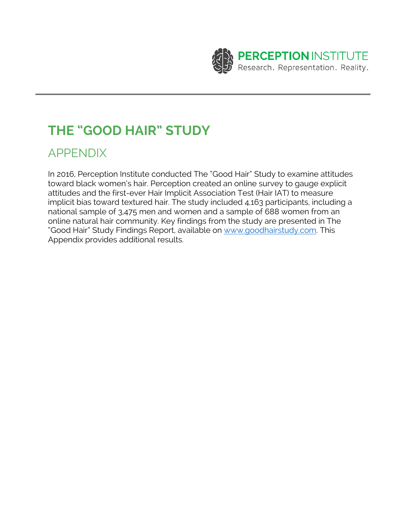

# **THE "GOOD HAIR" STUDY**

# APPENDIX

In 2016, Perception Institute conducted The "Good Hair" Study to examine attitudes toward black women's hair. Perception created an online survey to gauge explicit attitudes and the first-ever Hair Implicit Association Test (Hair IAT) to measure implicit bias toward textured hair. The study included 4,163 participants, including a national sample of 3,475 men and women and a sample of 688 women from an online natural hair community. Key findings from the study are presented in The "Good Hair" Study Findings Report, available on www.goodhairstudy.com. This Appendix provides additional results.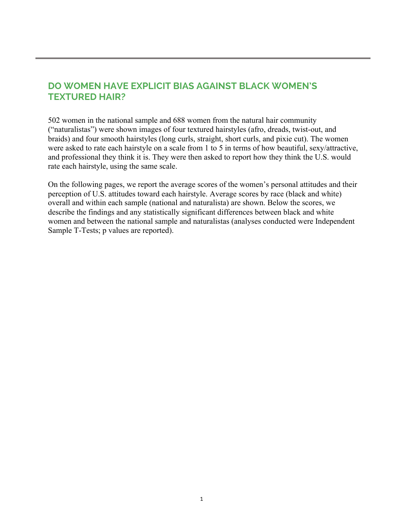# **DO WOMEN HAVE EXPLICIT BIAS AGAINST BLACK WOMEN'S TEXTURED HAIR?**

502 women in the national sample and 688 women from the natural hair community ("naturalistas") were shown images of four textured hairstyles (afro, dreads, twist-out, and braids) and four smooth hairstyles (long curls, straight, short curls, and pixie cut). The women were asked to rate each hairstyle on a scale from 1 to 5 in terms of how beautiful, sexy/attractive, and professional they think it is. They were then asked to report how they think the U.S. would rate each hairstyle, using the same scale.

On the following pages, we report the average scores of the women's personal attitudes and their perception of U.S. attitudes toward each hairstyle. Average scores by race (black and white) overall and within each sample (national and naturalista) are shown. Below the scores, we describe the findings and any statistically significant differences between black and white women and between the national sample and naturalistas (analyses conducted were Independent Sample T-Tests; p values are reported).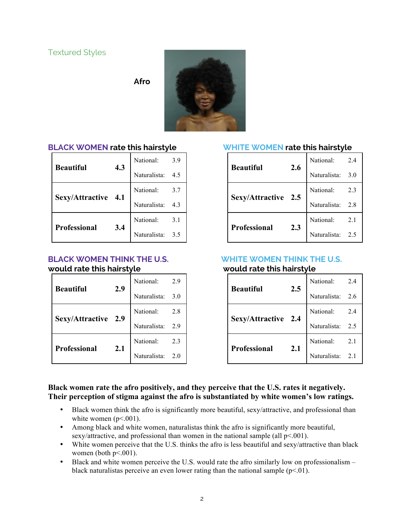**Afro**



**BLACK WOMEN rate this hairstyle**

| <b>Beautiful</b>    | 4.3 | National:    | 3.9 |
|---------------------|-----|--------------|-----|
|                     |     | Naturalista: |     |
| Sexy/Attractive 4.1 |     | National:    | 3.7 |
|                     |     | Naturalista: | 4.3 |
| Professional        | 3.4 | National:    | 3.1 |
|                     |     | Naturalista: | 3.5 |

#### **BLACK WOMEN THINK THE U.S. would rate this hairstyle**

| <b>Beautiful</b>    | 2.9 | National:    | 2.9 |
|---------------------|-----|--------------|-----|
|                     |     | Naturalista: | 3.0 |
| Sexy/Attractive 2.9 |     | National:    | 2.8 |
|                     |     | Naturalista: | 2.9 |
| Professional        |     | National:    | 2.3 |
|                     | 2.1 | Naturalista: | 2.0 |

### **WHITE WOMEN rate this hairstyle**

| Beautiful           | 2.6 | National:    | 2.4 |
|---------------------|-----|--------------|-----|
|                     |     | Naturalista: | 3.0 |
| Sexy/Attractive 2.5 |     | National:    | 2.3 |
|                     |     | Naturalista: | 2.8 |
| <b>Professional</b> | 2.3 | National:    | 2.1 |
|                     |     | Naturalista: | 2.5 |

#### **WHITE WOMEN THINK THE U.S. would rate this hairstyle**

| 2.5<br><b>Beautiful</b> |                     | National:        | 2.4 |
|-------------------------|---------------------|------------------|-----|
|                         | Naturalista: 2.6    |                  |     |
| Sexy/Attractive 2.4     |                     | National:        | 2.4 |
|                         |                     | Naturalista:     | 2.5 |
|                         | Professional<br>2.1 | National:        | 2.1 |
|                         |                     | Naturalista: 2.1 |     |

#### **Black women rate the afro positively, and they perceive that the U.S. rates it negatively. Their perception of stigma against the afro is substantiated by white women's low ratings.**

- Black women think the afro is significantly more beautiful, sexy/attractive, and professional than white women  $(p<.001)$ .
- Among black and white women, naturalistas think the afro is significantly more beautiful, sexy/attractive, and professional than women in the national sample (all  $p<.001$ ).
- White women perceive that the U.S. thinks the afro is less beautiful and sexy/attractive than black women (both  $p<.001$ ).
- Black and white women perceive the U.S. would rate the afro similarly low on professionalism black naturalistas perceive an even lower rating than the national sample  $(p<0.01)$ .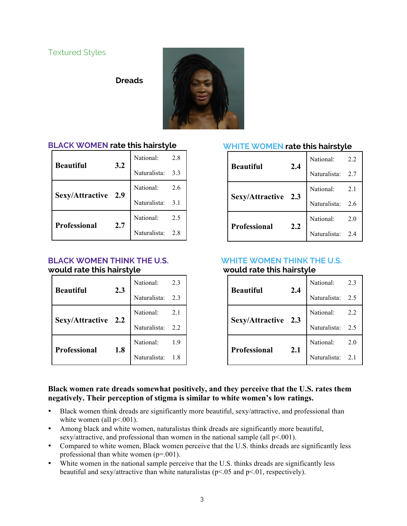**Dreads**



# **BLACK WOMEN rate this hairstyle**

| <b>Beautiful</b>    | $3.2$ | National: 2.8<br>Naturalista: 3.3 | 2.8 |
|---------------------|-------|-----------------------------------|-----|
|                     |       |                                   |     |
| Sexy/Attractive 2.9 |       | National:                         | 2.6 |
|                     |       | Naturalista: 3.1                  |     |
| Professional        | 2.7   | National:                         | 2.5 |
|                     |       | Naturalista: 2.8                  |     |

#### **BLACK WOMEN THINK THE U.S. would rate this hairstyle**

| <b>Beautiful</b>    | 2.3 | National:    | 2.3 |
|---------------------|-----|--------------|-----|
|                     |     | Naturalista: | 2.3 |
| Sexy/Attractive 2.2 |     | National:    | 2.1 |
|                     |     | Naturalista: | 2.2 |
| <b>Professional</b> | 1.8 | National:    | 1.9 |
|                     |     | Naturalista: |     |

### **WHITE WOMEN rate this hairstyle**

| <b>Beautiful</b>    | 2.4 | National:        | 2.2 |
|---------------------|-----|------------------|-----|
|                     |     | Naturalista: 2.7 |     |
| Sexy/Attractive 2.3 |     | National:        | 2.1 |
|                     |     | Naturalista:     | 2.6 |
| Professional        | 2.2 | National:        | 2.0 |
|                     |     | Naturalista: 2.4 |     |

#### **WHITE WOMEN THINK THE U.S. would rate this hairstyle**

| Beautiful<br>2.4    |              | National:                | 2.3 |
|---------------------|--------------|--------------------------|-----|
|                     | Naturalista: | 2.5                      |     |
| Sexy/Attractive     |              | National:                | 2.2 |
|                     | 2.3          | Naturalista:             | 2.5 |
| <b>Professional</b> |              | National:                | 2.0 |
|                     | 2.1          | Naturalista <sup>.</sup> | 21  |

#### **Black women rate dreads somewhat positively, and they perceive that the U.S. rates them negatively. Their perception of stigma is similar to white women's low ratings.**

- Black women think dreads are significantly more beautiful, sexy/attractive, and professional than white women (all  $p<001$ ).
- Among black and white women, naturalistas think dreads are significantly more beautiful, sexy/attractive, and professional than women in the national sample (all  $p<.001$ ).
- Compared to white women, Black women perceive that the U.S. thinks dreads are significantly less professional than white women (p=.001).
- White women in the national sample perceive that the U.S. thinks dreads are significantly less beautiful and sexy/attractive than white naturalistas ( $p<.05$  and  $p<.01$ , respectively).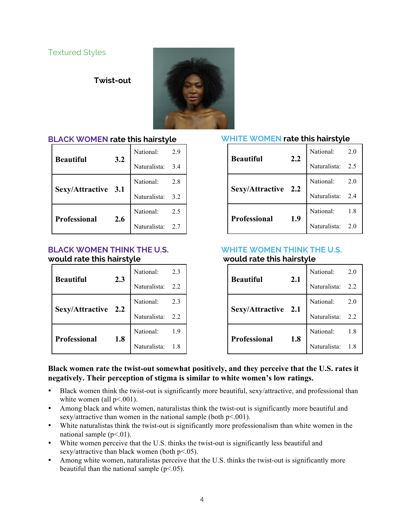**Twist-out**



### **BLACK WOMEN rate this hairstyle**

| <b>Beautiful</b>    | 3.2 | National:        | 2.9 |
|---------------------|-----|------------------|-----|
|                     |     | Naturalista:     | 3.4 |
| Sexy/Attractive 3.1 |     | National:        | 2.8 |
|                     |     | Naturalista: 3.2 |     |
| Professional        | 2.6 | National:        | 2.5 |
|                     |     | Naturalista: 2.7 |     |

#### **BLACK WOMEN THINK THE U.S. would rate this hairstyle**

| <b>Beautiful</b>    | 2.3 |                                   |  |
|---------------------|-----|-----------------------------------|--|
|                     |     | National: 2.3<br>Naturalista: 2.2 |  |
| Sexy/Attractive 2.2 |     |                                   |  |
|                     |     | National: 2.3<br>Naturalista: 2.2 |  |
| Professional        | 1.8 |                                   |  |
|                     |     | National: 1.9<br>Naturalista: 1.8 |  |

#### **WHITE WOMEN rate this hairstyle**

| <b>Beautiful</b>    | 2.2 | National:    | 2.0 |
|---------------------|-----|--------------|-----|
|                     |     | Naturalista: | 2.5 |
| Sexy/Attractive 2.2 |     | National:    | 2.0 |
|                     |     | Naturalista: | 2.4 |
| Professional        | 1.9 | National:    | 1.8 |
|                     |     | Naturalista: | 2.0 |

# **WHITE WOMEN THINK THE U.S.**

# **would rate this hairstyle**

| <b>Beautiful</b>    | 2.1 | National:    | 2.0 |
|---------------------|-----|--------------|-----|
|                     |     | Naturalista: | 2.2 |
| Sexy/Attractive 2.1 |     | National:    | 2.0 |
|                     |     | Naturalista: | 2.2 |
| Professional        | 1.8 | National:    | 1.8 |
|                     |     | Naturalista: |     |

#### **Black women rate the twist-out somewhat positively, and they perceive that the U.S. rates it negatively. Their perception of stigma is similar to white women's low ratings.**

- Black women think the twist-out is significantly more beautiful, sexy/attractive, and professional than white women (all  $p<001$ ).
- Among black and white women, naturalistas think the twist-out is significantly more beautiful and sexy/attractive than women in the national sample (both  $p<.001$ ).
- White naturalistas think the twist-out is significantly more professionalism than white women in the national sample  $(p<.01)$ .
- White women perceive that the U.S. thinks the twist-out is significantly less beautiful and sexy/attractive than black women (both p<.05).
- Among white women, naturalistas perceive that the U.S. thinks the twist-out is significantly more beautiful than the national sample  $(p<.05)$ .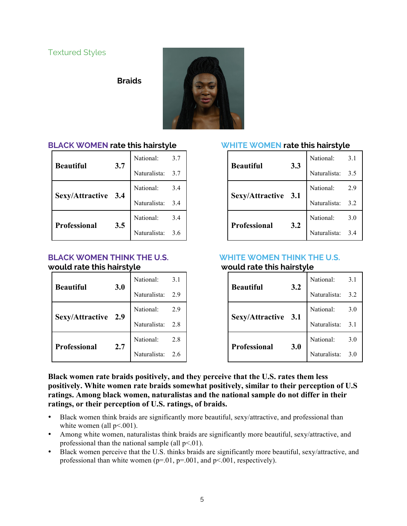**Braids**



# **BLACK WOMEN rate this hairstyle**

| 3.7<br><b>Beautiful</b> |                  | National:        | 3.7 |
|-------------------------|------------------|------------------|-----|
|                         | Naturalista: 3.7 |                  |     |
|                         |                  | National:        | 3.4 |
| Sexy/Attractive 3.4     |                  | Naturalista: 3.4 |     |
|                         | 3.5              | National:        | 3.4 |
| Professional            |                  | Naturalista: 3.6 |     |

#### **BLACK WOMEN THINK THE U.S. would rate this hairstyle**

| 3.0<br><b>Beautiful</b> |                     | National:        | 3.1 |
|-------------------------|---------------------|------------------|-----|
|                         | Naturalista: 2.9    |                  |     |
|                         | Sexy/Attractive 2.9 | National:        | 2.9 |
|                         |                     | Naturalista: 2.8 |     |
| 2.7<br>Professional     | National:           | 2.8              |     |
|                         |                     | Naturalista: 2.6 |     |

#### **WHITE WOMEN rate this hairstyle**

| <b>Beautiful</b><br>3.3 | National:                  | 3.1          |     |
|-------------------------|----------------------------|--------------|-----|
|                         |                            | Naturalista: | 3.5 |
|                         |                            | National:    | 2.9 |
| Sexy/Attractive 3.1     |                            | Naturalista: | 3.2 |
|                         | <b>Professional</b><br>3.2 | National:    | 3.0 |
|                         |                            | Naturalista: | 34  |

#### **WHITE WOMEN THINK THE U.S. would rate this hairstyle**

| 3.2<br><b>Beautiful</b> |                  | National:    | 3.1 |
|-------------------------|------------------|--------------|-----|
|                         | Naturalista: 3.2 |              |     |
|                         |                  | National:    | 3.0 |
| Sexy/Attractive 3.1     |                  | Naturalista: | 3.1 |
|                         | 3.0              | National:    | 3.0 |
| <b>Professional</b>     |                  | Naturalista: | 3.0 |

**Black women rate braids positively, and they perceive that the U.S. rates them less positively. White women rate braids somewhat positively, similar to their perception of U.S ratings. Among black women, naturalistas and the national sample do not differ in their ratings, or their perception of U.S. ratings, of braids.**

- Black women think braids are significantly more beautiful, sexy/attractive, and professional than white women (all  $p<.001$ ).
- Among white women, naturalistas think braids are significantly more beautiful, sexy/attractive, and professional than the national sample (all  $p<01$ ).
- Black women perceive that the U.S. thinks braids are significantly more beautiful, sexy/attractive, and professional than white women  $(p=0.01, p=0.01, p=0.001,$  respectively).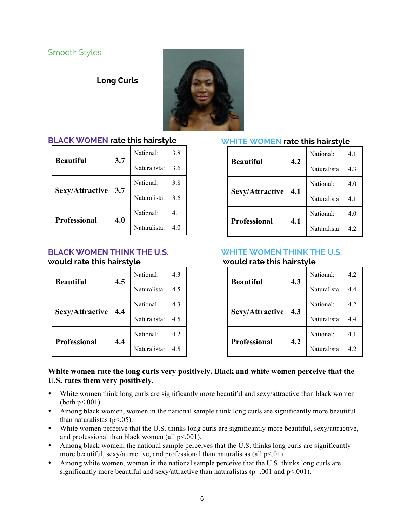### Smooth Styles

#### **Long Curls**



#### **BLACK WOMEN rate this hairstyle**

| 3.7<br><b>Beautiful</b> | National:        | 3.8 |
|-------------------------|------------------|-----|
|                         | Naturalista: 3.6 |     |
|                         | National:        | 3.8 |
| Sexy/Attractive 3.7     | Naturalista: 3.6 |     |
| 4.0<br>Professional     | National:        | 4.1 |
|                         | Naturalista:     |     |

#### **BLACK WOMEN THINK THE U.S. would rate this hairstyle**

| <b>Beautiful</b>    | 4.5 | National: 4.3<br>Naturalista: 4.5 |  |
|---------------------|-----|-----------------------------------|--|
|                     |     |                                   |  |
|                     |     | National:                         |  |
| Sexy/Attractive 4.4 |     | Naturalista: 4.5                  |  |
|                     | 4.4 |                                   |  |
| Professional        |     | National: 4.2<br>Naturalista: 4.5 |  |

### **WHITE WOMEN rate this hairstyle**

| 4.2<br><b>Beautiful</b> |                            | National:    | 4.1 |
|-------------------------|----------------------------|--------------|-----|
|                         | Naturalista:               | 4.3          |     |
|                         |                            | National:    | 4.0 |
| Sexy/Attractive 4.1     |                            | Naturalista: | 4.1 |
|                         | <b>Professional</b><br>4.1 | National:    | 4.0 |
|                         |                            | Naturalista: | 4.2 |

# **WHITE WOMEN THINK THE U.S.**

## **would rate this hairstyle**

| 4.3<br><b>Beautiful</b>    |              | National:    | 4.2 |
|----------------------------|--------------|--------------|-----|
|                            | Naturalista: | 4.4          |     |
|                            |              | National:    | 4.2 |
| Sexy/Attractive 4.3        |              | Naturalista: | 4.4 |
| <b>Professional</b><br>4.2 | National:    | 4.1          |     |
|                            |              | Naturalista: |     |

#### **White women rate the long curls very positively. Black and white women perceive that the U.S. rates them very positively.**

- White women think long curls are significantly more beautiful and sexy/attractive than black women (both  $p<.001$ ).
- Among black women, women in the national sample think long curls are significantly more beautiful than naturalistas ( $p<.05$ ).
- White women perceive that the U.S. thinks long curls are significantly more beautiful, sexy/attractive, and professional than black women (all  $p<001$ ).
- Among black women, the national sample perceives that the U.S. thinks long curls are significantly more beautiful, sexy/attractive, and professional than naturalistas (all  $p<01$ ).
- Among white women, women in the national sample perceive that the U.S. thinks long curls are significantly more beautiful and sexy/attractive than naturalistas ( $p=0.001$  and  $p<0.01$ ).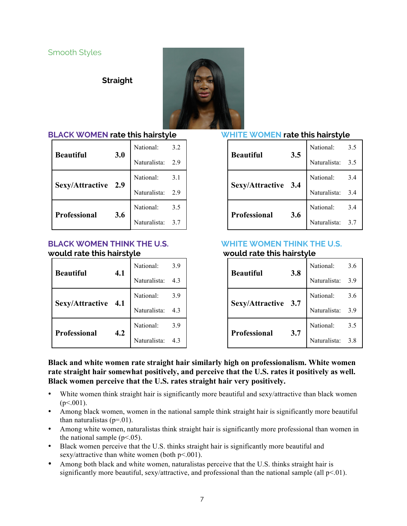# Smooth Styles

**Straight**



#### **BLACK WOMEN rate this hairstyle**

| 3.0<br><b>Beautiful</b> |              | National:        | 3.2 |
|-------------------------|--------------|------------------|-----|
|                         | Naturalista: | 2.9              |     |
|                         |              | National:        | 3.1 |
| Sexy/Attractive 2.9     |              | Naturalista:     | 2.9 |
| <b>Professional</b>     | 3.6          | National:        | 3.5 |
|                         |              | Naturalista: 3.7 |     |

#### **BLACK WOMEN THINK THE U.S. would rate this hairstyle**

| 4.1<br><b>Beautiful</b> |                  | National:        | 3.9 |
|-------------------------|------------------|------------------|-----|
|                         | Naturalista: 4.3 |                  |     |
|                         |                  | National:        | 3.9 |
| Sexy/Attractive 4.1     |                  | Naturalista: 4.3 |     |
|                         | 4.2              | National:        | 3.9 |
| Professional            |                  | Naturalista: 4.3 |     |

#### **WHITE WOMEN rate this hairstyle**

|                         |              | National:    | 3.5 |
|-------------------------|--------------|--------------|-----|
| 3.5<br><b>Beautiful</b> | Naturalista: | 3.5          |     |
|                         |              | National:    | 3.4 |
| Sexy/Attractive 3.4     |              | Naturalista: | 3.4 |
|                         | 3.6          | National:    | 3.4 |
| Professional            |              | Naturalista: | 3.7 |

# **WHITE WOMEN THINK THE U.S.**

|  |  |  | would rate this hairstyle |  |
|--|--|--|---------------------------|--|
|--|--|--|---------------------------|--|

|                     |            | National:    | 3.6 |
|---------------------|------------|--------------|-----|
| <b>Beautiful</b>    | 3.8<br>3.7 | Naturalista: | 3.9 |
|                     |            | National:    | 3.6 |
| Sexy/Attractive 3.7 |            | Naturalista: | 3.9 |
|                     |            | National:    | 3.5 |
| Professional        |            | Naturalista: | 3.8 |

**Black and white women rate straight hair similarly high on professionalism. White women rate straight hair somewhat positively, and perceive that the U.S. rates it positively as well. Black women perceive that the U.S. rates straight hair very positively.**

- White women think straight hair is significantly more beautiful and sexy/attractive than black women  $(p<.001)$ .
- Among black women, women in the national sample think straight hair is significantly more beautiful than naturalistas  $(p=01)$ .
- Among white women, naturalistas think straight hair is significantly more professional than women in the national sample  $(p<.05)$ .
- Black women perceive that the U.S. thinks straight hair is significantly more beautiful and sexy/attractive than white women (both p<.001).
- Among both black and white women, naturalistas perceive that the U.S. thinks straight hair is significantly more beautiful, sexy/attractive, and professional than the national sample (all  $p<01$ ).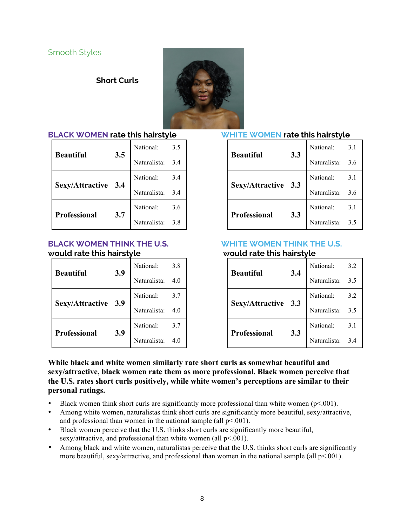# **Short Curls**



# **BLACK WOMEN rate this hairstyle**

| <b>Beautiful</b>    |     | National:        | 3.5 |
|---------------------|-----|------------------|-----|
|                     | 3.5 | Naturalista: 3.4 |     |
|                     |     | National:        | 3.4 |
| Sexy/Attractive 3.4 |     | Naturalista: 3.4 |     |
| Professional        | 3.7 | National:        | 3.6 |
|                     |     | Naturalista: 3.8 |     |

#### **BLACK WOMEN THINK THE U.S. would rate this hairstyle**

| <b>Beautiful</b>    |     | National: 3.8<br>Naturalista: 4.0 | 3.8 |
|---------------------|-----|-----------------------------------|-----|
|                     | 3.9 |                                   |     |
| Sexy/Attractive 3.9 |     | National: 3.7<br>Naturalista: 4.0 | 3.7 |
|                     |     |                                   |     |
|                     |     | National:                         | 3.7 |
| <b>Professional</b> | 3.9 | Naturalista: 4.0                  |     |

#### **WHITE WOMEN rate this hairstyle**

| <b>Beautiful</b>    |     | National:    | 3.1 |
|---------------------|-----|--------------|-----|
|                     | 3.3 | Naturalista: | 3.6 |
|                     |     | National:    | 3.1 |
| Sexy/Attractive 3.3 |     | Naturalista: | 3.6 |
|                     |     | National:    | 3.1 |
| Professional        | 3.3 | Naturalista: | 3.5 |

# **WHITE WOMEN THINK THE U.S.**

|                     |     | National:<br>3.2<br>Naturalista:<br>3.5<br>National:<br>3.2 |     |  |
|---------------------|-----|-------------------------------------------------------------|-----|--|
| <b>Beautiful</b>    | 3.4 |                                                             |     |  |
|                     |     |                                                             |     |  |
| Sexy/Attractive 3.3 |     | Naturalista:                                                | 3.5 |  |
|                     | 3.3 | National:                                                   | 3.1 |  |
| <b>Professional</b> |     | Naturalista:                                                | 3.4 |  |

**While black and white women similarly rate short curls as somewhat beautiful and sexy/attractive, black women rate them as more professional. Black women perceive that the U.S. rates short curls positively, while white women's perceptions are similar to their personal ratings.**

- Black women think short curls are significantly more professional than white women ( $p<.001$ ).
- Among white women, naturalistas think short curls are significantly more beautiful, sexy/attractive, and professional than women in the national sample (all  $p<001$ ).
- Black women perceive that the U.S. thinks short curls are significantly more beautiful, sexy/attractive, and professional than white women (all  $p<001$ ).
- Among black and white women, naturalistas perceive that the U.S. thinks short curls are significantly more beautiful, sexy/attractive, and professional than women in the national sample (all  $p<.001$ ).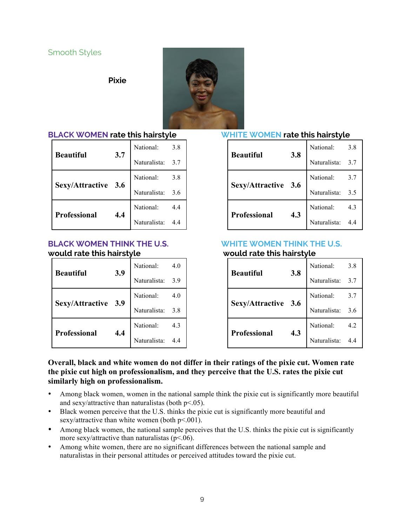# Smooth Styles

**Pixie**



#### **BLACK WOMEN rate this hairstyle**

|                     |     | National:<br>3.8 |     |  |
|---------------------|-----|------------------|-----|--|
| <b>Beautiful</b>    | 3.7 | Naturalista: 3.7 |     |  |
| Sexy/Attractive 3.6 |     | National:        | 3.8 |  |
|                     |     | Naturalista: 3.6 |     |  |
| <b>Professional</b> | 4.4 | National:        | 4.4 |  |
|                     |     | Naturalista: 4.4 |     |  |

#### **BLACK WOMEN THINK THE U.S. would rate this hairstyle**

|                     |     | National:    | 4.0 |
|---------------------|-----|--------------|-----|
| <b>Beautiful</b>    | 3.9 | Naturalista: | 3.9 |
|                     |     | National:    | 4.0 |
| Sexy/Attractive 3.9 |     | Naturalista: | 3.8 |
|                     | 4.4 | National:    | 4.3 |
| Professional        |     | Naturalista: |     |

#### **WHITE WOMEN rate this hairstyle**

| <b>Beautiful</b> |                     | National:    | 3.8 |
|------------------|---------------------|--------------|-----|
|                  | 3.8                 | Naturalista: | 3.7 |
|                  | Sexy/Attractive 3.6 | National:    | 3.7 |
|                  |                     | Naturalista: | 3.5 |
|                  | 4.3                 | National:    | 4.3 |
| Professional     |                     | Naturalista: |     |

# **WHITE WOMEN THINK THE U.S.**

| <b>Beautiful</b>    |     | National:        | 3.8 |
|---------------------|-----|------------------|-----|
|                     | 3.8 | Naturalista: 3.7 |     |
| Sexy/Attractive 3.6 |     | National:        | 3.7 |
|                     |     | Naturalista: 3.6 |     |
| <b>Professional</b> | 4.3 | National:        | 4.2 |
|                     |     | Naturalista: 4.4 |     |

#### **Overall, black and white women do not differ in their ratings of the pixie cut. Women rate the pixie cut high on professionalism, and they perceive that the U.S. rates the pixie cut similarly high on professionalism.**

- Among black women, women in the national sample think the pixie cut is significantly more beautiful and sexy/attractive than naturalistas (both  $p<.05$ ).
- Black women perceive that the U.S. thinks the pixie cut is significantly more beautiful and sexy/attractive than white women (both p<.001).
- Among black women, the national sample perceives that the U.S. thinks the pixie cut is significantly more sexy/attractive than naturalistas ( $p<.06$ ).
- Among white women, there are no significant differences between the national sample and naturalistas in their personal attitudes or perceived attitudes toward the pixie cut.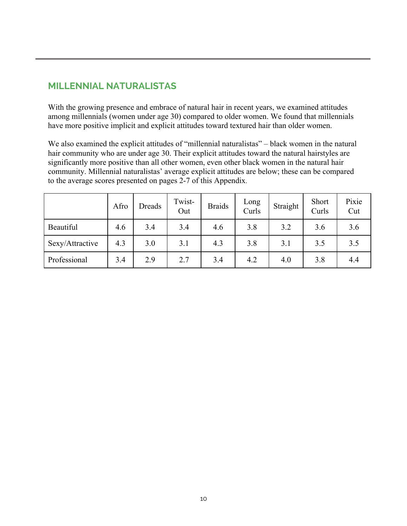# **MILLENNIAL NATURALISTAS**

With the growing presence and embrace of natural hair in recent years, we examined attitudes among millennials (women under age 30) compared to older women. We found that millennials have more positive implicit and explicit attitudes toward textured hair than older women.

We also examined the explicit attitudes of "millennial naturalistas" – black women in the natural hair community who are under age 30. Their explicit attitudes toward the natural hairstyles are significantly more positive than all other women, even other black women in the natural hair community. Millennial naturalistas' average explicit attitudes are below; these can be compared to the average scores presented on pages 2-7 of this Appendix.

|                 | Afro | Dreads | Twist-<br>Out | <b>Braids</b> | Long<br>Curls | Straight | Short<br>Curls | Pixie<br>Cut |
|-----------------|------|--------|---------------|---------------|---------------|----------|----------------|--------------|
| Beautiful       | 4.6  | 3.4    | 3.4           | 4.6           | 3.8           | 3.2      | 3.6            | 3.6          |
| Sexy/Attractive | 4.3  | 3.0    | 3.1           | 4.3           | 3.8           | 3.1      | 3.5            | 3.5          |
| Professional    | 3.4  | 2.9    | 2.7           | 3.4           | 4.2           | 4.0      | 3.8            | 4.4          |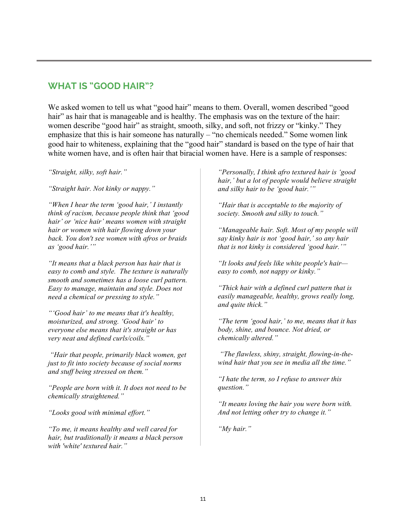# **WHAT IS "GOOD HAIR"?**

We asked women to tell us what "good hair" means to them. Overall, women described "good hair" as hair that is manageable and is healthy. The emphasis was on the texture of the hair: women describe "good hair" as straight, smooth, silky, and soft, not frizzy or "kinky." They emphasize that this is hair someone has naturally – "no chemicals needed." Some women link good hair to whiteness, explaining that the "good hair" standard is based on the type of hair that white women have, and is often hair that biracial women have. Here is a sample of responses:

*"Straight, silky, soft hair."*

*"Straight hair. Not kinky or nappy."*

*"When I hear the term 'good hair,' I instantly think of racism, because people think that 'good hair' or 'nice hair' means women with straight hair or women with hair flowing down your back. You don't see women with afros or braids as 'good hair.'"*

*"It means that a black person has hair that is easy to comb and style. The texture is naturally smooth and sometimes has a loose curl pattern. Easy to manage, maintain and style. Does not need a chemical or pressing to style."*

*"'Good hair' to me means that it's healthy, moisturized, and strong. 'Good hair' to everyone else means that it's straight or has very neat and defined curls/coils."*

*"Hair that people, primarily black women, get just to fit into society because of social norms and stuff being stressed on them."*

*"People are born with it. It does not need to be chemically straightened."*

*"Looks good with minimal effort."*

*"To me, it means healthy and well cared for hair, but traditionally it means a black person with 'white' textured hair."*

*"Personally, I think afro textured hair is 'good hair,' but a lot of people would believe straight and silky hair to be 'good hair.'"*

*"Hair that is acceptable to the majority of society. Smooth and silky to touch."* 

*"Manageable hair. Soft. Most of my people will say kinky hair is not 'good hair,' so any hair that is not kinky is considered 'good hair.'"*

*"It looks and feels like white people's hair easy to comb, not nappy or kinky."*

*"Thick hair with a defined curl pattern that is easily manageable, healthy, grows really long, and quite thick."*

*"The term 'good hair,' to me, means that it has body, shine, and bounce. Not dried, or chemically altered."*

*"The flawless, shiny, straight, flowing-in-thewind hair that you see in media all the time."*

*"I hate the term, so I refuse to answer this question."*

*"It means loving the hair you were born with. And not letting other try to change it."*

*"My hair."*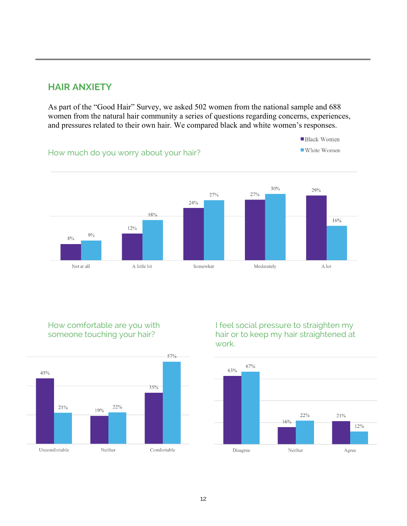# **HAIR ANXIETY**

As part of the "Good Hair" Survey, we asked 502 women from the national sample and 688 women from the natural hair community a series of questions regarding concerns, experiences, and pressures related to their own hair. We compared black and white women's responses.



# How comfortable are you with someone touching your hair?



I feel social pressure to straighten my hair or to keep my hair straightened at work.

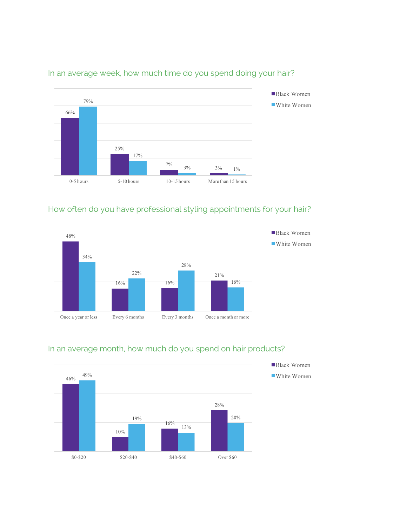

### In an average week, how much time do you spend doing your hair?

# How often do you have professional styling appointments for your hair?





# In an average month, how much do you spend on hair products?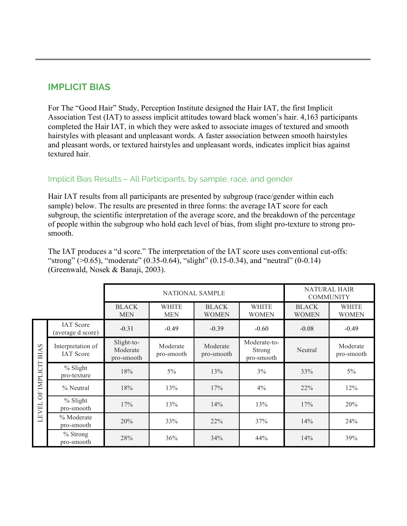# **IMPLICIT BIAS**

For The "Good Hair" Study, Perception Institute designed the Hair IAT, the first Implicit Association Test (IAT) to assess implicit attitudes toward black women's hair. 4,163 participants completed the Hair IAT, in which they were asked to associate images of textured and smooth hairstyles with pleasant and unpleasant words. A faster association between smooth hairstyles and pleasant words, or textured hairstyles and unpleasant words, indicates implicit bias against textured hair.

### Implicit Bias Results – All Participants, by sample, race, and gender

Hair IAT results from all participants are presented by subgroup (race/gender within each sample) below. The results are presented in three forms: the average IAT score for each subgroup, the scientific interpretation of the average score, and the breakdown of the percentage of people within the subgroup who hold each level of bias, from slight pro-texture to strong prosmooth.

The IAT produces a "d score." The interpretation of the IAT score uses conventional cut-offs: "strong" ( $>0.65$ ), "moderate" (0.35-0.64), "slight" (0.15-0.34), and "neutral" (0-0.14) (Greenwald, Nosek & Banaji, 2003).

|                                                            |                                       |                                      | <b>NATIONAL SAMPLE</b>     | <b>NATURAL HAIR</b><br><b>COMMUNITY</b> |                                             |                              |                              |
|------------------------------------------------------------|---------------------------------------|--------------------------------------|----------------------------|-----------------------------------------|---------------------------------------------|------------------------------|------------------------------|
|                                                            |                                       | <b>BLACK</b><br><b>MEN</b>           | <b>WHITE</b><br><b>MEN</b> | <b>BLACK</b><br><b>WOMEN</b>            | <b>WHITE</b><br><b>WOMEN</b>                | <b>BLACK</b><br><b>WOMEN</b> | <b>WHITE</b><br><b>WOMEN</b> |
| $\mathbf{\Omega}$<br><b>BIA</b><br>IMPLICIT<br>öF<br>LEVEL | <b>IAT</b> Score<br>(average d score) | $-0.31$                              | $-0.49$                    | $-0.39$                                 | $-0.60$                                     | $-0.08$                      | $-0.49$                      |
|                                                            | Interpretation of<br><b>IAT</b> Score | Slight-to-<br>Moderate<br>pro-smooth | Moderate<br>pro-smooth     | Moderate<br>pro-smooth                  | Moderate-to-<br><b>Strong</b><br>pro-smooth | Neutral                      | Moderate<br>pro-smooth       |
|                                                            | % Slight<br>pro-texture               | 18%                                  | $5\%$                      | 13%                                     | 3%                                          | 33%                          | $5\%$                        |
|                                                            | % Neutral                             | 18%                                  | 13%                        | 17%                                     | 4%                                          | $22\%$                       | 12%                          |
|                                                            | % Slight<br>pro-smooth                | 17%                                  | 13%                        | 14%                                     | 13%                                         | 17%                          | 20%                          |
|                                                            | % Moderate<br>pro-smooth              | 20%                                  | 33%                        | 22%                                     | 37%                                         | 14%                          | 24%                          |
|                                                            | $%$ Strong<br>pro-smooth              | 28%                                  | 36%                        | 34%                                     | 44%                                         | 14%                          | 39%                          |